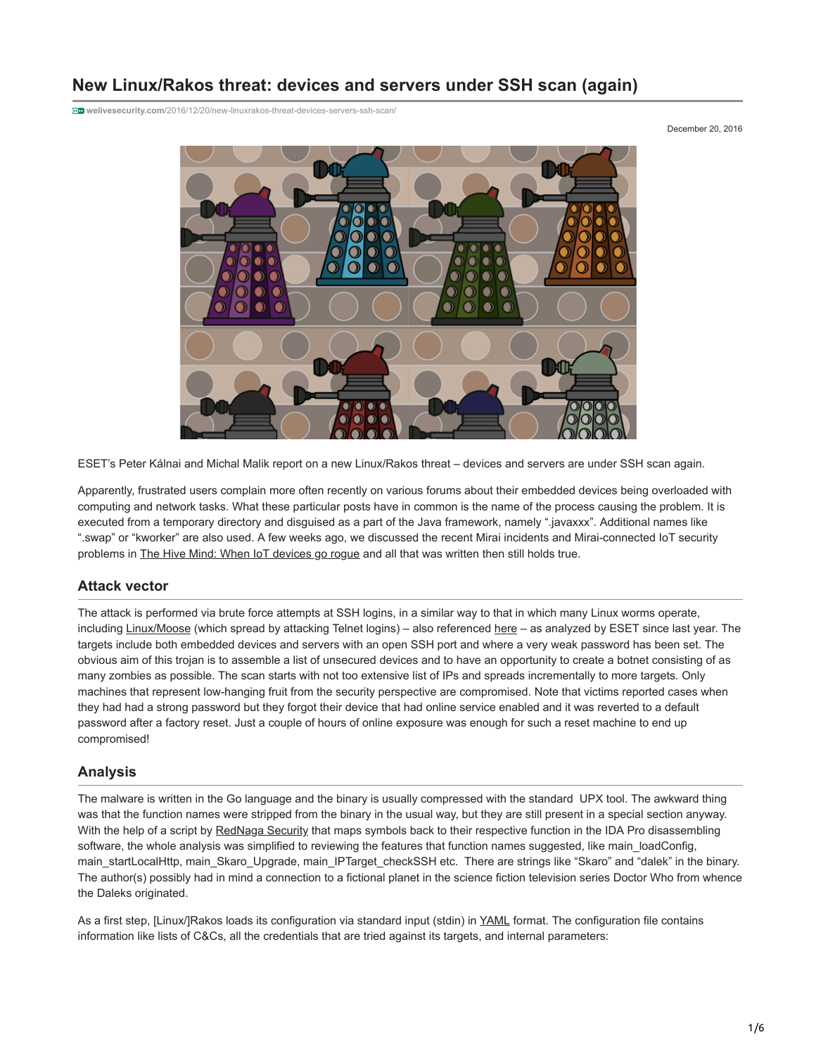# **New Linux/Rakos threat: devices and servers under SSH scan (again)**

**welivesecurity.com**[/2016/12/20/new-linuxrakos-threat-devices-servers-ssh-scan/](http://www.welivesecurity.com/2016/12/20/new-linuxrakos-threat-devices-servers-ssh-scan/)

December 20, 2016



ESET's Peter Kálnai and Michal Malik report on a new Linux/Rakos threat – devices and servers are under SSH scan again.

Apparently, frustrated users complain more often recently on various forums about their embedded devices being overloaded with computing and network tasks. What these particular posts have in common is the name of the process causing the problem. It is executed from a temporary directory and disguised as a part of the Java framework, namely ".javaxxx". Additional names like ".swap" or "kworker" are also used. A few weeks ago, we discussed the recent Mirai incidents and Mirai-connected IoT security problems in [The Hive Mind: When IoT devices go rogue](http://www.welivesecurity.com/2016/10/26/hive-mind-iot-devices-go-rogue/) and all that was written then still holds true.

### **Attack vector**

The attack is performed via brute force attempts at SSH logins, in a similar way to that in which many Linux worms operate, including [Linux/Moose](http://www.welivesecurity.com/wp-content/uploads/2015/05/Dissecting-LinuxMoose.pdf) (which spread by attacking Telnet logins) – also referenced [here](http://www.welivesecurity.com/2016/11/02/linuxmoose-still-breathing/) – as analyzed by ESET since last year. The targets include both embedded devices and servers with an open SSH port and where a very weak password has been set. The obvious aim of this trojan is to assemble a list of unsecured devices and to have an opportunity to create a botnet consisting of as many zombies as possible. The scan starts with not too extensive list of IPs and spreads incrementally to more targets. Only machines that represent low-hanging fruit from the security perspective are compromised. Note that victims reported cases when they had had a strong password but they forgot their device that had online service enabled and it was reverted to a default password after a factory reset. Just a couple of hours of online exposure was enough for such a reset machine to end up compromised!

### **Analysis**

The malware is written in the Go language and the binary is usually compressed with the standard UPX tool. The awkward thing was that the function names were stripped from the binary in the usual way, but they are still present in a special section anyway. With the help of a script by [RedNaga Security](http://rednaga.io/2016/09/21/reversing_go_binaries_like_a_pro/) that maps symbols back to their respective function in the IDA Pro disassembling software, the whole analysis was simplified to reviewing the features that function names suggested, like main loadConfig, main\_startLocalHttp, main\_Skaro\_Upgrade, main\_IPTarget\_checkSSH etc. There are strings like "Skaro" and "dalek" in the binary. The author(s) possibly had in mind a connection to a fictional planet in the science fiction television series Doctor Who from whence the Daleks originated.

As a first step, [Linux/]Rakos loads its configuration via standard input (stdin) in [YAML](http://yaml.org/) format. The configuration file contains information like lists of C&Cs, all the credentials that are tried against its targets, and internal parameters: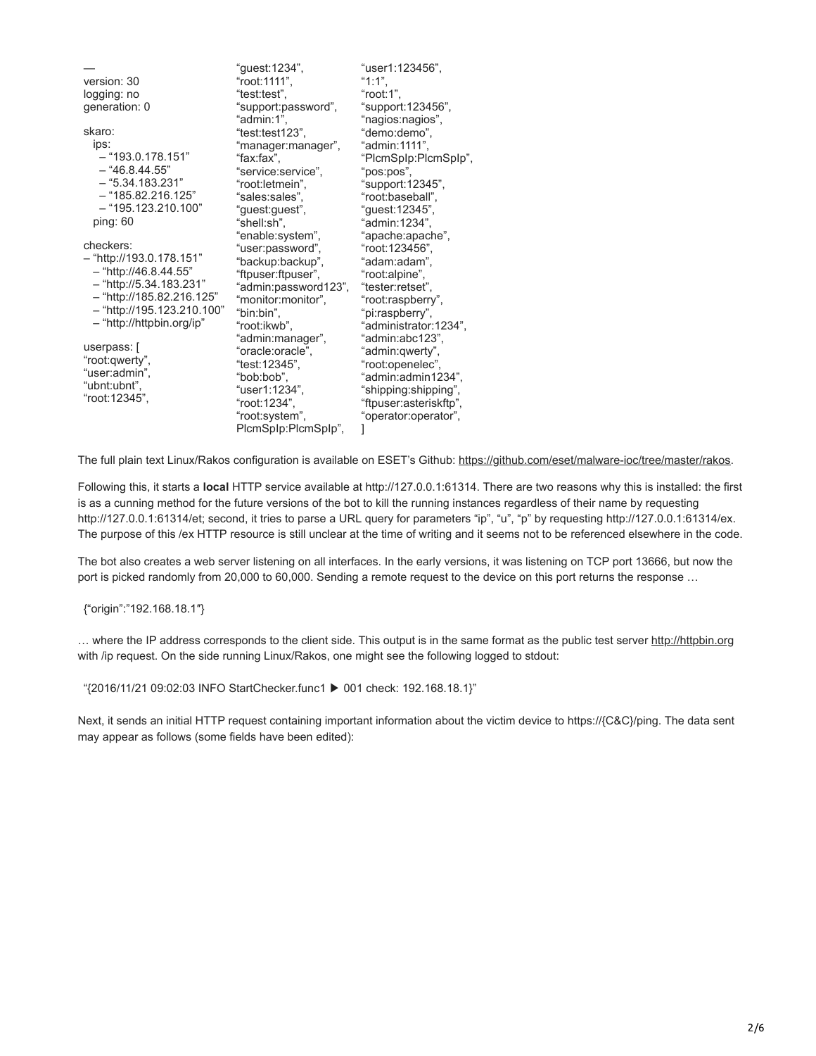|                            | "guest:1234",        | "user1:123456",        |
|----------------------------|----------------------|------------------------|
| version: 30                | "root:1111",         | "1:1".                 |
| logging: no                | "test:test",         | "root:1",              |
| generation: 0              | "support:password",  | "support:123456",      |
|                            | "admin:1",           | "nagios:nagios",       |
| skaro:                     | "test:test123",      | "demo:demo",           |
| ips:                       | "manager:manager",   | "admin:1111",          |
| - "193.0.178.151"          | "fax:fax",           | "PlcmSplp:PlcmSplp",   |
| $-$ "46.8.44.55"           | "service:service",   | "pos:pos",             |
| $-$ "5.34.183.231"         | "root:letmein",      | "support:12345",       |
| $-$ "185.82.216.125"       | "sales:sales",       | "root:baseball",       |
| $-$ "195.123.210.100"      | "guest:guest",       | "guest:12345",         |
| ping: $60$                 | "shell:sh",          | "admin:1234",          |
|                            | "enable:system",     | "apache:apache",       |
| checkers:                  | "user:password",     | "root:123456",         |
| $-$ "http://193.0.178.151" | "backup:backup",     | "adam:adam",           |
| - "http://46.8.44.55"      | "ftpuser:ftpuser",   | "root:alpine",         |
| - "http://5.34.183.231"    | "admin:password123", | "tester:retset",       |
| - "http://185.82.216.125"  | "monitor:monitor",   | "root:raspberry",      |
| - "http://195.123.210.100" | "bin:bin".           | "pi:raspberry",        |
| - "http://httpbin.org/ip"  | "root:ikwb",         | "administrator:1234",  |
| userpass: [                | "admin:manager",     | "admin:abc123",        |
| "root:qwerty",             | "oracle:oracle",     | "admin:qwerty",        |
| "user:admin",              | "test:12345",        | "root:openelec",       |
| "ubnt:ubnt",               | "bob:bob",           | "admin:admin1234",     |
| "root:12345",              | "user1:1234",        | "shipping:shipping",   |
|                            | "root:1234",         | "ftpuser:asteriskftp", |
|                            | "root:system",       | "operator:operator",   |
|                            | PlcmSplp:PlcmSplp",  |                        |

The full plain text Linux/Rakos configuration is available on ESET's Github: [https://github.com/eset/malware-ioc/tree/master/rakos.](https://github.com/eset/malware-ioc/tree/master/rakos)

Following this, it starts a **local** HTTP service available at http://127.0.0.1:61314. There are two reasons why this is installed: the first is as a cunning method for the future versions of the bot to kill the running instances regardless of their name by requesting http://127.0.0.1:61314/et; second, it tries to parse a URL query for parameters "ip", "u", "p" by requesting http://127.0.0.1:61314/ex. The purpose of this /ex HTTP resource is still unclear at the time of writing and it seems not to be referenced elsewhere in the code.

The bot also creates a web server listening on all interfaces. In the early versions, it was listening on TCP port 13666, but now the port is picked randomly from 20,000 to 60,000. Sending a remote request to the device on this port returns the response ...

{"origin":"192.168.18.1″}

… where the IP address corresponds to the client side. This output is in the same format as the public test server [http://httpbin.org](http://httpbin.org/ip) with /ip request. On the side running Linux/Rakos, one might see the following logged to stdout:

"{2016/11/21 09:02:03 INFO StartChecker.func1 ▶ 001 check: 192.168.18.1}"

Next, it sends an initial HTTP request containing important information about the victim device to https://{C&C}/ping. The data sent may appear as follows (some fields have been edited):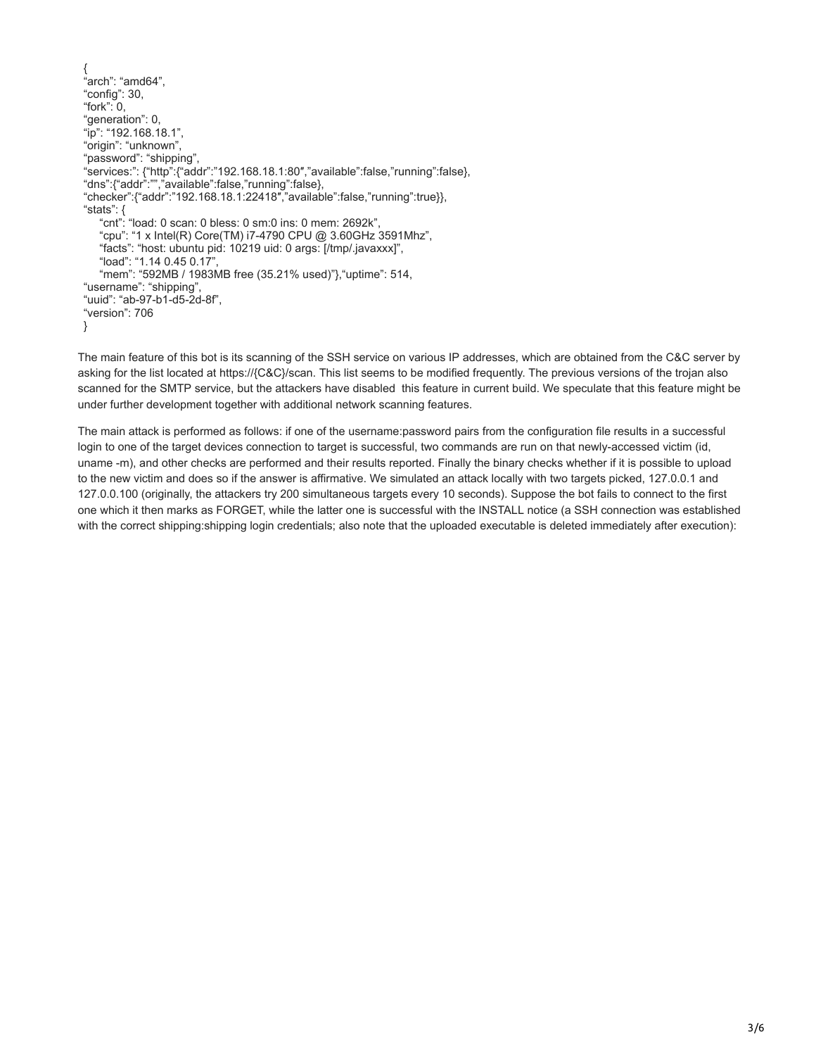```
{
 .<br>'arch": "amd64",
"config": 30,
"fork": 0,
"generation": 0,
"ip": "192.168.18.1",
"origin": "unknown",
"password": "shipping",
"services:": {"http":{"addr":"192.168.18.1:80″,"available":false,"running":false},
"dns":{"addr":"","available":false,"running":false},
"checker":{"addr":"192.168.18.1:22418″,"available":false,"running":true}},
"stats": {
    "cnt": "load: 0 scan: 0 bless: 0 sm:0 ins: 0 mem: 2692k",
    "cpu": "1 x Intel(R) Core(TM) i7-4790 CPU @ 3.60GHz 3591Mhz",
    "facts": "host: ubuntu pid: 10219 uid: 0 args: [/tmp/.javaxxx]",
 "load": "1.14 0.45 0.17",
 "mem": "592MB / 1983MB free (35.21% used)"},"uptime": 514,
"username": "shipping",
"uuid": "ab-97-b1-d5-2d-8f",
"version": 706
}
```
The main feature of this bot is its scanning of the SSH service on various IP addresses, which are obtained from the C&C server by asking for the list located at https://{C&C}/scan. This list seems to be modified frequently. The previous versions of the trojan also scanned for the SMTP service, but the attackers have disabled this feature in current build. We speculate that this feature might be under further development together with additional network scanning features.

The main attack is performed as follows: if one of the username:password pairs from the configuration file results in a successful login to one of the target devices connection to target is successful, two commands are run on that newly-accessed victim (id, uname -m), and other checks are performed and their results reported. Finally the binary checks whether if it is possible to upload to the new victim and does so if the answer is affirmative. We simulated an attack locally with two targets picked, 127.0.0.1 and 127.0.0.100 (originally, the attackers try 200 simultaneous targets every 10 seconds). Suppose the bot fails to connect to the first one which it then marks as FORGET, while the latter one is successful with the INSTALL notice (a SSH connection was established with the correct shipping:shipping login credentials; also note that the uploaded executable is deleted immediately after execution):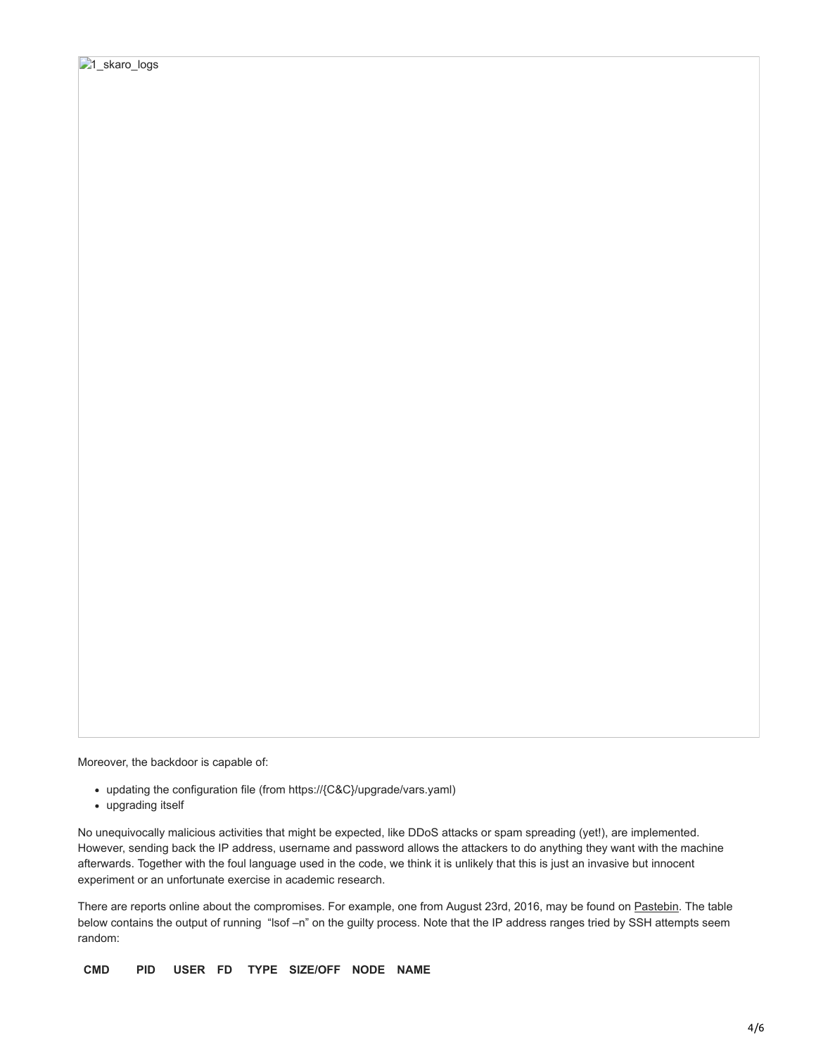Moreover, the backdoor is capable of:

- updating the configuration file (from https://{C&C}/upgrade/vars.yaml)
- upgrading itself

No unequivocally malicious activities that might be expected, like DDoS attacks or spam spreading (yet!), are implemented. However, sending back the IP address, username and password allows the attackers to do anything they want with the machine afterwards. Together with the foul language used in the code, we think it is unlikely that this is just an invasive but innocent experiment or an unfortunate exercise in academic research.

There are reports online about the compromises. For example, one from August 23rd, 2016, may be found on [Pastebin](http://pastebin.com/pzeFBbuu). The table below contains the output of running "lsof –n" on the guilty process. Note that the IP address ranges tried by SSH attempts seem random:

**CMD PID USER FD TYPE SIZE/OFF NODE NAME**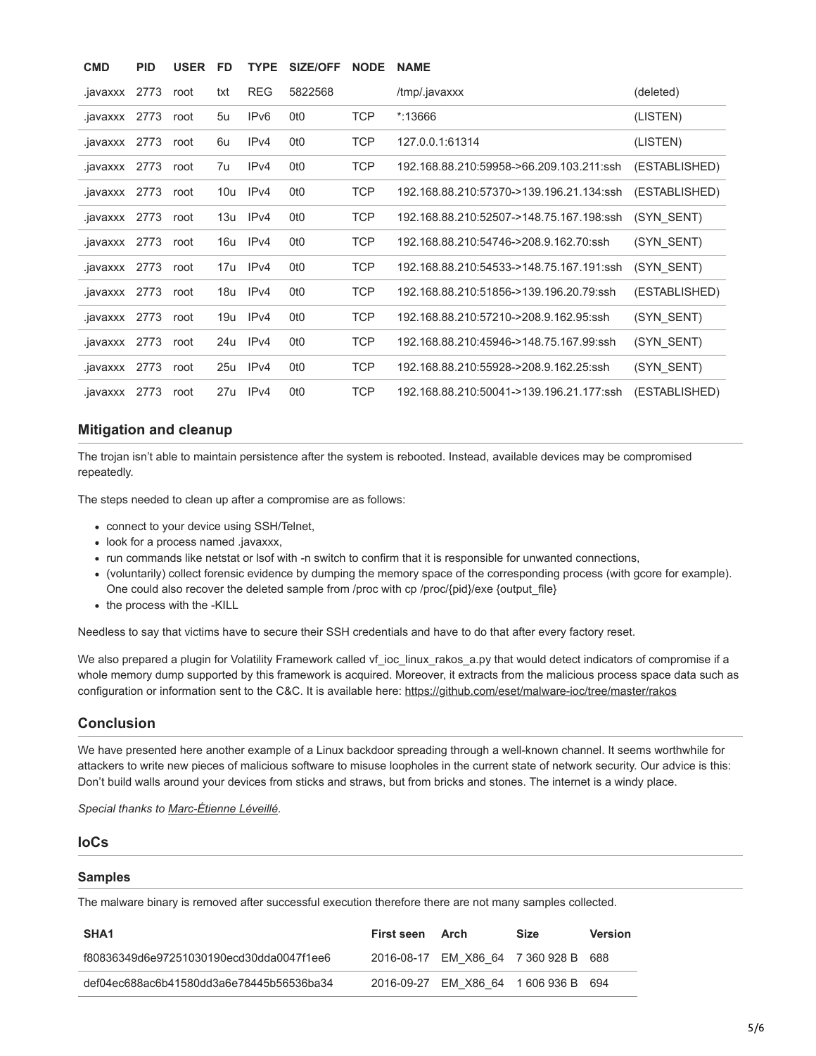| <b>CMD</b>    | <b>PID</b> | <b>USER</b> | <b>FD</b> | <b>TYPE</b>      | <b>SIZE/OFF</b> | <b>NODE</b> | <b>NAME</b>                              |               |
|---------------|------------|-------------|-----------|------------------|-----------------|-------------|------------------------------------------|---------------|
| .javaxxx      | 2773       | root        | txt       | <b>REG</b>       | 5822568         |             | /tmp/.javaxxx                            | (deleted)     |
| .javaxxx      | 2773       | root        | 5u        | IP <sub>v6</sub> | 0t <sub>0</sub> | <b>TCP</b>  | *:13666                                  | (LISTEN)      |
| .javaxxx      | 2773       | root        | 6u        | IPv4             | 0t <sub>0</sub> | <b>TCP</b>  | 127.0.0.1.61314                          | (LISTEN)      |
| .javaxxx 2773 |            | root        | 7u        | IPv4             | 0t <sub>0</sub> | TCP         | 192.168.88.210.59958->66.209.103.211.ssh | (ESTABLISHED) |
| .javaxxx      | 2773       | root        | 10u       | IP <sub>v4</sub> | 0t <sub>0</sub> | <b>TCP</b>  | 192.168.88.210:57370->139.196.21.134:ssh | (ESTABLISHED) |
| .javaxxx      | 2773       | root        | 13u       | IPv4             | 0t <sub>0</sub> | <b>TCP</b>  | 192.168.88.210.52507->148.75.167.198.ssh | (SYN SENT)    |
| .javaxxx      | 2773       | root        | 16u       | IPv4             | 0t <sub>0</sub> | <b>TCP</b>  | 192.168.88.210:54746->208.9.162.70:ssh   | (SYN SENT)    |
| .javaxxx 2773 |            | root        |           | 17u IPv4         | 0t <sub>0</sub> | <b>TCP</b>  | 192.168.88.210:54533->148.75.167.191:ssh | (SYN SENT)    |
| .javaxxx      | 2773       | root        | 18u       | IPv4             | 0t <sub>0</sub> | <b>TCP</b>  | 192.168.88.210.51856->139.196.20.79:ssh  | (ESTABLISHED) |
| .javaxxx      | 2773       | root        | 19u       | IPv4             | 0t <sub>0</sub> | <b>TCP</b>  | 192.168.88.210:57210->208.9.162.95:ssh   | (SYN SENT)    |
| .javaxxx      | 2773       | root        | 24u       | IPv4             | 0t <sub>0</sub> | <b>TCP</b>  | 192.168.88.210:45946->148.75.167.99:ssh  | (SYN SENT)    |
| .javaxxx      | 2773       | root        | 25u       | IPv4             | 0t <sub>0</sub> | <b>TCP</b>  | 192.168.88.210:55928->208.9.162.25:ssh   | (SYN SENT)    |
| .javaxxx      | 2773       | root        | 27u       | IPv4             | 0t <sub>0</sub> | <b>TCP</b>  | 192.168.88.210:50041->139.196.21.177:ssh | (ESTABLISHED) |

### **Mitigation and cleanup**

The trojan isn't able to maintain persistence after the system is rebooted. Instead, available devices may be compromised repeatedly.

The steps needed to clean up after a compromise are as follows:

- connect to your device using SSH/Telnet,
- look for a process named .javaxxx,
- run commands like netstat or lsof with -n switch to confirm that it is responsible for unwanted connections,
- (voluntarily) collect forensic evidence by dumping the memory space of the corresponding process (with gcore for example). One could also recover the deleted sample from /proc with cp /proc/{pid}/exe {output\_file}
- the process with the -KILL

Needless to say that victims have to secure their SSH credentials and have to do that after every factory reset.

We also prepared a plugin for Volatility Framework called vf\_ioc\_linux\_rakos\_a.py that would detect indicators of compromise if a whole memory dump supported by this framework is acquired. Moreover, it extracts from the malicious process space data such as configuration or information sent to the C&C. It is available here: <https://github.com/eset/malware-ioc/tree/master/rakos>

### **Conclusion**

We have presented here another example of a Linux backdoor spreading through a well-known channel. It seems worthwhile for attackers to write new pieces of malicious software to misuse loopholes in the current state of network security. Our advice is this: Don't build walls around your devices from sticks and straws, but from bricks and stones. The internet is a windy place.

*Special thanks to [Marc-Étienne Léveillé.](http://www.welivesecurity.com/author/marc-etienne)*

#### **IoCs**

#### **Samples**

The malware binary is removed after successful execution therefore there are not many samples collected.

| SHA <sub>1</sub>                         | First seen | Arch                             | <b>Size</b> | Version |
|------------------------------------------|------------|----------------------------------|-------------|---------|
| f80836349d6e97251030190ecd30dda0047f1ee6 |            | 2016-08-17 EM X86 64 7 360 928 B |             | 688     |
| def04ec688ac6b41580dd3a6e78445b56536ba34 |            | 2016-09-27 EM X86 64 1 606 936 B |             | 694     |